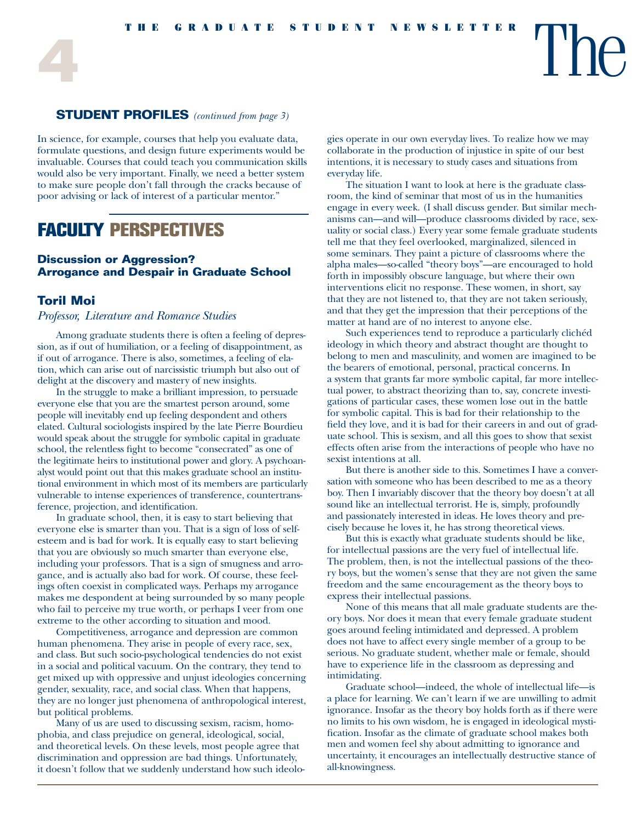### **STUDENT PROFILES** *(continued from page 3)*

In science, for example, courses that help you evaluate data, formulate questions, and design future experiments would be invaluable. Courses that could teach you communication skills would also be very important. Finally, we need a better system to make sure people don't fall through the cracks because of poor advising or lack of interest of a particular mentor."

# **FACULTY PERSPECTIVES**

### **Discussion or Aggression? Arrogance and Despair in Graduate School**

#### **Toril Moi**

#### *Professor, Literature and Romance Studies*

Among graduate students there is often a feeling of depression, as if out of humiliation, or a feeling of disappointment, as if out of arrogance. There is also, sometimes, a feeling of elation, which can arise out of narcissistic triumph but also out of delight at the discovery and mastery of new insights.

In the struggle to make a brilliant impression, to persuade everyone else that you are the smartest person around, some people will inevitably end up feeling despondent and others elated. Cultural sociologists inspired by the late Pierre Bourdieu would speak about the struggle for symbolic capital in graduate school, the relentless fight to become "consecrated" as one of the legitimate heirs to institutional power and glory. A psychoanalyst would point out that this makes graduate school an institutional environment in which most of its members are particularly vulnerable to intense experiences of transference, countertransference, projection, and identification.

In graduate school, then, it is easy to start believing that everyone else is smarter than you. That is a sign of loss of selfesteem and is bad for work. It is equally easy to start believing that you are obviously so much smarter than everyone else, including your professors. That is a sign of smugness and arrogance, and is actually also bad for work. Of course, these feelings often coexist in complicated ways. Perhaps my arrogance makes me despondent at being surrounded by so many people who fail to perceive my true worth, or perhaps I veer from one extreme to the other according to situation and mood.

Competitiveness, arrogance and depression are common human phenomena. They arise in people of every race, sex, and class. But such socio-psychological tendencies do not exist in a social and political vacuum. On the contrary, they tend to get mixed up with oppressive and unjust ideologies concerning gender, sexuality, race, and social class. When that happens, they are no longer just phenomena of anthropological interest, but political problems.

Many of us are used to discussing sexism, racism, homophobia, and class prejudice on general, ideological, social, and theoretical levels. On these levels, most people agree that discrimination and oppression are bad things. Unfortunately, it doesn't follow that we suddenly understand how such ideologies operate in our own everyday lives. To realize how we may collaborate in the production of injustice in spite of our best intentions, it is necessary to study cases and situations from everyday life.

The situation I want to look at here is the graduate classroom, the kind of seminar that most of us in the humanities engage in every week. (I shall discuss gender. But similar mechanisms can—and will—produce classrooms divided by race, sexuality or social class.) Every year some female graduate students tell me that they feel overlooked, marginalized, silenced in some seminars. They paint a picture of classrooms where the alpha males—so-called "theory boys"—are encouraged to hold forth in impossibly obscure language, but where their own interventions elicit no response. These women, in short, say that they are not listened to, that they are not taken seriously, and that they get the impression that their perceptions of the matter at hand are of no interest to anyone else.

Such experiences tend to reproduce a particularly clichéd ideology in which theory and abstract thought are thought to belong to men and masculinity, and women are imagined to be the bearers of emotional, personal, practical concerns. In a system that grants far more symbolic capital, far more intellectual power, to abstract theorizing than to, say, concrete investigations of particular cases, these women lose out in the battle for symbolic capital. This is bad for their relationship to the field they love, and it is bad for their careers in and out of graduate school. This is sexism, and all this goes to show that sexist effects often arise from the interactions of people who have no sexist intentions at all.

But there is another side to this. Sometimes I have a conversation with someone who has been described to me as a theory boy. Then I invariably discover that the theory boy doesn't at all sound like an intellectual terrorist. He is, simply, profoundly and passionately interested in ideas. He loves theory and precisely because he loves it, he has strong theoretical views.

But this is exactly what graduate students should be like, for intellectual passions are the very fuel of intellectual life. The problem, then, is not the intellectual passions of the theory boys, but the women's sense that they are not given the same freedom and the same encouragement as the theory boys to express their intellectual passions.

None of this means that all male graduate students are theory boys. Nor does it mean that every female graduate student goes around feeling intimidated and depressed. A problem does not have to affect every single member of a group to be serious. No graduate student, whether male or female, should have to experience life in the classroom as depressing and intimidating.

Graduate school—indeed, the whole of intellectual life—is a place for learning. We can't learn if we are unwilling to admit ignorance. Insofar as the theory boy holds forth as if there were no limits to his own wisdom, he is engaged in ideological mystification. Insofar as the climate of graduate school makes both men and women feel shy about admitting to ignorance and uncertainty, it encourages an intellectually destructive stance of all-knowingness.